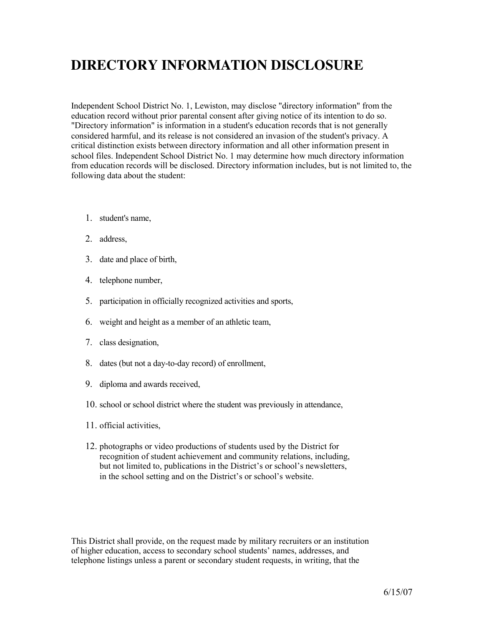## **DIRECTORY INFORMATION DISCLOSURE**

Independent School District No. 1, Lewiston, may disclose "directory information" from the education record without prior parental consent after giving notice of its intention to do so. "Directory information" is information in a student's education records that is not generally considered harmful, and its release is not considered an invasion of the student's privacy. A critical distinction exists between directory information and all other information present in school files. Independent School District No. 1 may determine how much directory information from education records will be disclosed. Directory information includes, but is not limited to, the following data about the student:

- 1. student's name,
- 2. address,
- 3. date and place of birth,
- 4. telephone number,
- 5. participation in officially recognized activities and sports,
- 6. weight and height as a member of an athletic team,
- 7. class designation,
- 8. dates (but not a day-to-day record) of enrollment,
- 9. diploma and awards received,
- 10. school or school district where the student was previously in attendance,
- 11. official activities,
- 12. photographs or video productions of students used by the District for recognition of student achievement and community relations, including, but not limited to, publications in the District's or school's newsletters, in the school setting and on the District's or school's website.

This District shall provide, on the request made by military recruiters or an institution of higher education, access to secondary school students' names, addresses, and telephone listings unless a parent or secondary student requests, in writing, that the